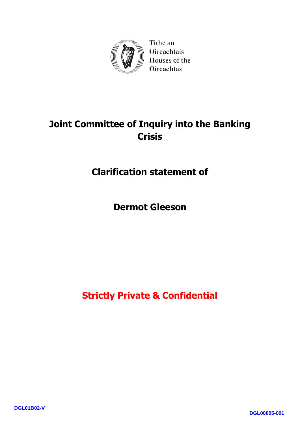

Tithe an Oireachtais Houses of the **Oireachtas** 

# **Joint Committee of Inquiry into the Banking Crisis**

**Clarification statement of**

**Dermot Gleeson**

**Strictly Private & Confidential**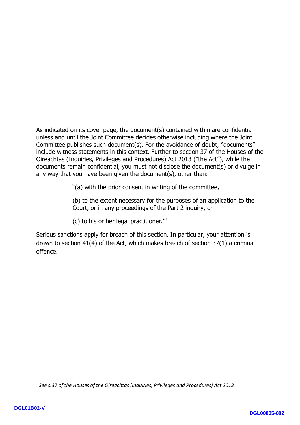As indicated on its cover page, the document(s) contained within are confidential unless and until the Joint Committee decides otherwise including where the Joint Committee publishes such document(s). For the avoidance of doubt, "documents" include witness statements in this context. Further to section 37 of the Houses of the Oireachtas (Inquiries, Privileges and Procedures) Act 2013 ("the Act"), while the documents remain confidential, you must not disclose the document(s) or divulge in any way that you have been given the document(s), other than:

"(a) with the prior consent in writing of the committee,

(b) to the extent necessary for the purposes of an application to the Court, or in any proceedings of the Part 2 inquiry, or

(c) to his or her legal practitioner."[1](#page-1-0)

Serious sanctions apply for breach of this section. In particular, your attention is drawn to section 41(4) of the Act, which makes breach of section 37(1) a criminal offence.

**.** 

<span id="page-1-0"></span><sup>1</sup> *See s.37 of the Houses of the Oireachtas (Inquiries, Privileges and Procedures) Act 2013*